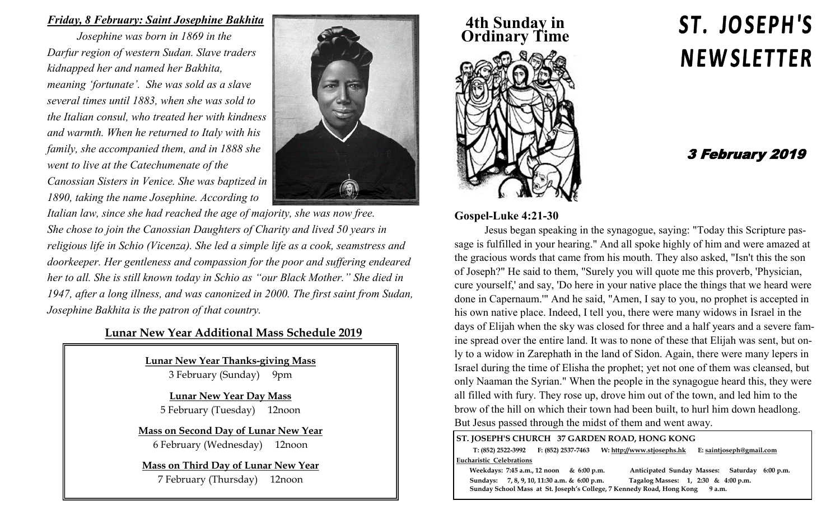## *Friday, 8 February: Saint Josephine Bakhita*

*Josephine was born in 1869 in the Darfur region of western Sudan. Slave traders kidnapped her and named her Bakhita, meaning 'fortunate'. She was sold as a slave several times until 1883, when she was sold to the Italian consul, who treated her with kindness and warmth. When he returned to Italy with his family, she accompanied them, and in 1888 she went to live at the Catechumenate of the Canossian Sisters in Venice. She was baptized in 1890, taking the name Josephine. According to* 



*Italian law, since she had reached the age of majority, she was now free. She chose to join the Canossian Daughters of Charity and lived 50 years in religious life in Schio (Vicenza). She led a simple life as a cook, seamstress and doorkeeper. Her gentleness and compassion for the poor and suffering endeared her to all. She is still known today in Schio as "our Black Mother." She died in 1947, after a long illness, and was canonized in 2000. The first saint from Sudan, Josephine Bakhita is the patron of that country.* 

## **Lunar New Year Additional Mass Schedule 2019**

**Lunar New Year Thanks-giving Mass** 3 February (Sunday) 9pm

**Lunar New Year Day Mass** 5 February (Tuesday) 12noon

**Mass on Second Day of Lunar New Year**

6 February (Wednesday) 12noon

## **Mass on Third Day of Lunar New Year**

7 February (Thursday) 12noon

## **4th Sunday in Ordinary Time**



# ST. JOSEPH'S **NEWSLETTER**

## 3 February 2019

### **Gospel-Luke 4:21-30**

Jesus began speaking in the synagogue, saying: "Today this Scripture passage is fulfilled in your hearing." And all spoke highly of him and were amazed at the gracious words that came from his mouth. They also asked, "Isn't this the son of Joseph?" He said to them, "Surely you will quote me this proverb, 'Physician, cure yourself,' and say, 'Do here in your native place the things that we heard were done in Capernaum.'" And he said, "Amen, I say to you, no prophet is accepted in his own native place. Indeed, I tell you, there were many widows in Israel in the days of Elijah when the sky was closed for three and a half years and a severe famine spread over the entire land. It was to none of these that Elijah was sent, but only to a widow in Zarephath in the land of Sidon. Again, there were many lepers in Israel during the time of Elisha the prophet; yet not one of them was cleansed, but only Naaman the Syrian." When the people in the synagogue heard this, they were all filled with fury. They rose up, drove him out of the town, and led him to the brow of the hill on which their town had been built, to hurl him down headlong. But Jesus passed through the midst of them and went away.

#### **ST. JOSEPH'S CHURCH 37 GARDEN ROAD, HONG KONG**

 **T: (852) 2522-3992 F: (852) 2537-7463 W: http://www.stjosephs.hk E: saintjoseph@gmail.com Eucharistic Celebrations** 

 **Weekdays: 7:45 a.m., 12 noon & 6:00 p.m. Anticipated Sunday Masses: Saturday 6:00 p.m. Sundays: 7, 8, 9, 10, 11:30 a.m. & 6:00 p.m. Tagalog Masses: 1, 2:30 & 4:00 p.m. Sunday School Mass at St. Joseph's College, 7 Kennedy Road, Hong Kong 9 a.m.**